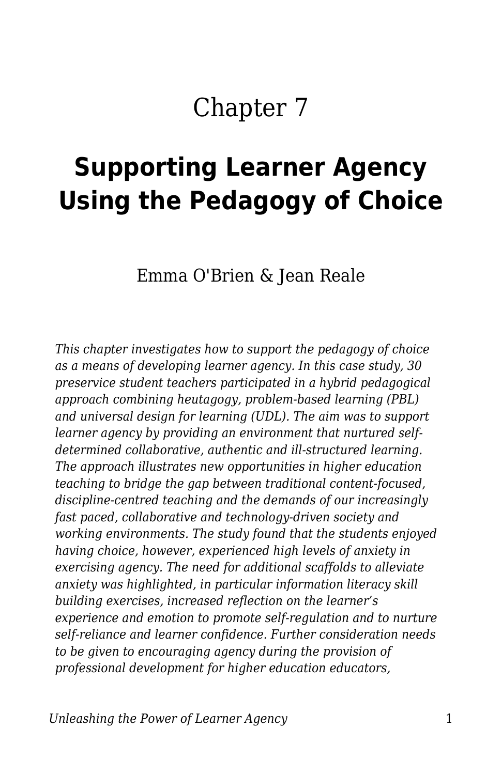## Chapter 7

# **Supporting Learner Agency Using the Pedagogy of Choice**

Emma O'Brien & Jean Reale

*This chapter investigates how to support the pedagogy of choice as a means of developing learner agency. In this case study, 30 preservice student teachers participated in a hybrid pedagogical approach combining heutagogy, problem-based learning (PBL) and universal design for learning (UDL). The aim was to support learner agency by providing an environment that nurtured selfdetermined collaborative, authentic and ill-structured learning. The approach illustrates new opportunities in higher education teaching to bridge the gap between traditional content-focused, discipline-centred teaching and the demands of our increasingly fast paced, collaborative and technology-driven society and working environments. The study found that the students enjoyed having choice, however, experienced high levels of anxiety in exercising agency. The need for additional scaffolds to alleviate anxiety was highlighted, in particular information literacy skill building exercises, increased reflection on the learner's experience and emotion to promote self-regulation and to nurture self-reliance and learner confidence. Further consideration needs to be given to encouraging agency during the provision of professional development for higher education educators,*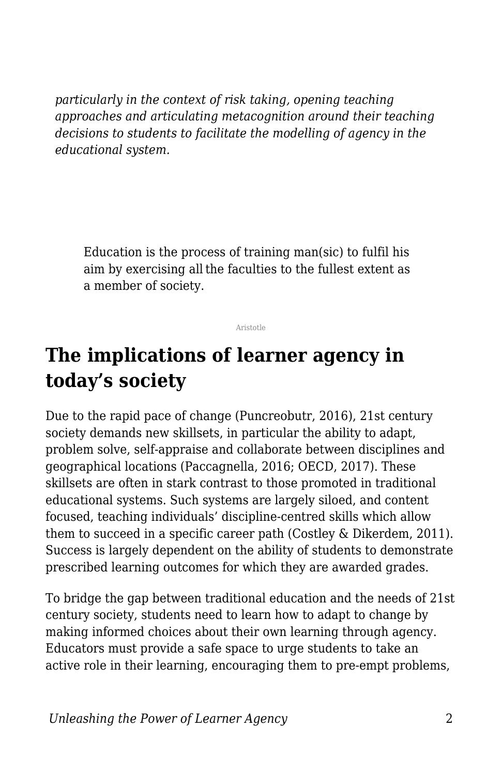*particularly in the context of risk taking, opening teaching approaches and articulating metacognition around their teaching decisions to students to facilitate the modelling of agency in the educational system.*

Education is the process of training man(sic) to fulfil his aim by exercising all the faculties to the fullest extent as a member of society.

Aristotle

### **The implications of learner agency in today's society**

Due to the rapid pace of change (Puncreobutr, 2016), 21st century society demands new skillsets, in particular the ability to adapt, problem solve, self-appraise and collaborate between disciplines and geographical locations (Paccagnella, 2016; OECD, 2017). These skillsets are often in stark contrast to those promoted in traditional educational systems. Such systems are largely siloed, and content focused, teaching individuals' discipline-centred skills which allow them to succeed in a specific career path (Costley & Dikerdem, 2011). Success is largely dependent on the ability of students to demonstrate prescribed learning outcomes for which they are awarded grades.

To bridge the gap between traditional education and the needs of 21st century society, students need to learn how to adapt to change by making informed choices about their own learning through agency. Educators must provide a safe space to urge students to take an active role in their learning, encouraging them to pre-empt problems,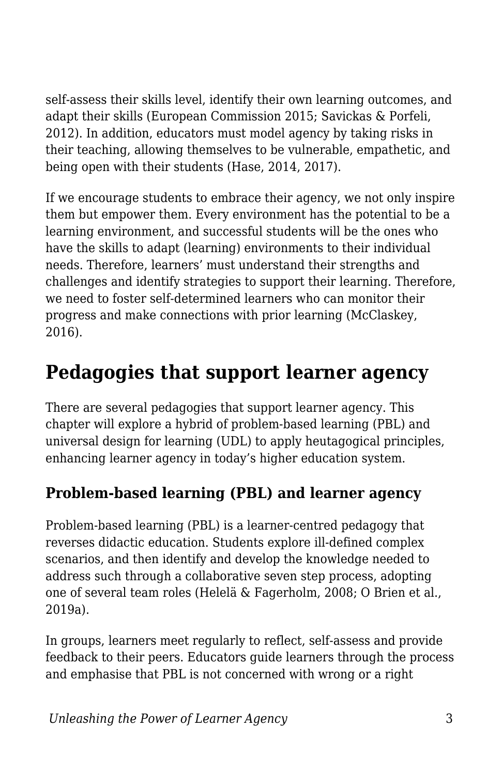self-assess their skills level, identify their own learning outcomes, and adapt their skills (European Commission 2015; Savickas & Porfeli, 2012). In addition, educators must model agency by taking risks in their teaching, allowing themselves to be vulnerable, empathetic, and being open with their students (Hase, 2014, 2017).

If we encourage students to embrace their agency, we not only inspire them but empower them. Every environment has the potential to be a learning environment, and successful students will be the ones who have the skills to adapt (learning) environments to their individual needs. Therefore, learners' must understand their strengths and challenges and identify strategies to support their learning. Therefore, we need to foster self-determined learners who can monitor their progress and make connections with prior learning (McClaskey, 2016).

### **Pedagogies that support learner agency**

There are several pedagogies that support learner agency. This chapter will explore a hybrid of problem-based learning (PBL) and universal design for learning (UDL) to apply heutagogical principles, enhancing learner agency in today's higher education system.

#### **Problem-based learning (PBL) and learner agency**

Problem-based learning (PBL) is a learner-centred pedagogy that reverses didactic education. Students explore ill-defined complex scenarios, and then identify and develop the knowledge needed to address such through a collaborative seven step process, adopting one of several team roles (Helelä & Fagerholm, 2008; O Brien et al., 2019a).

In groups, learners meet regularly to reflect, self-assess and provide feedback to their peers. Educators guide learners through the process and emphasise that PBL is not concerned with wrong or a right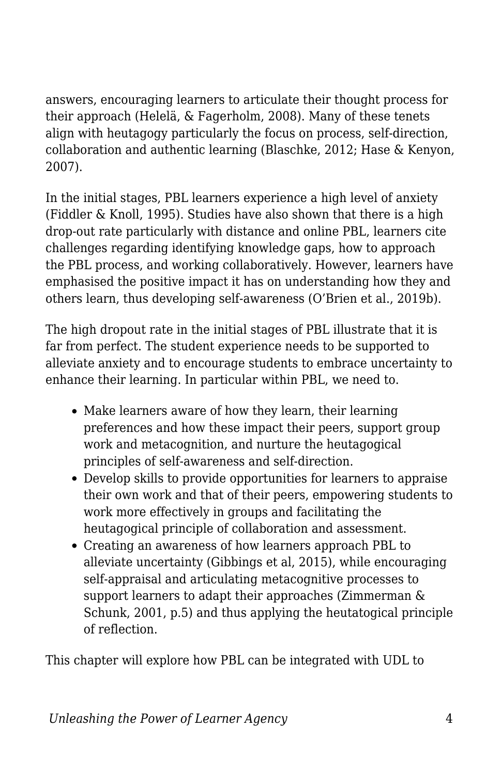answers, encouraging learners to articulate their thought process for their approach (Helelä, & Fagerholm, 2008). Many of these tenets align with heutagogy particularly the focus on process, self-direction, collaboration and authentic learning (Blaschke, 2012; Hase & Kenyon, 2007).

In the initial stages, PBL learners experience a high level of anxiety (Fiddler & Knoll, 1995). Studies have also shown that there is a high drop-out rate particularly with distance and online PBL, learners cite challenges regarding identifying knowledge gaps, how to approach the PBL process, and working collaboratively. However, learners have emphasised the positive impact it has on understanding how they and others learn, thus developing self-awareness (O'Brien et al., 2019b).

The high dropout rate in the initial stages of PBL illustrate that it is far from perfect. The student experience needs to be supported to alleviate anxiety and to encourage students to embrace uncertainty to enhance their learning. In particular within PBL, we need to.

- Make learners aware of how they learn, their learning preferences and how these impact their peers, support group work and metacognition, and nurture the heutagogical principles of self-awareness and self-direction.
- Develop skills to provide opportunities for learners to appraise their own work and that of their peers, empowering students to work more effectively in groups and facilitating the heutagogical principle of collaboration and assessment.
- Creating an awareness of how learners approach PBL to alleviate uncertainty (Gibbings et al, 2015), while encouraging self-appraisal and articulating metacognitive processes to support learners to adapt their approaches (Zimmerman & Schunk, 2001, p.5) and thus applying the heutatogical principle of reflection.

This chapter will explore how PBL can be integrated with UDL to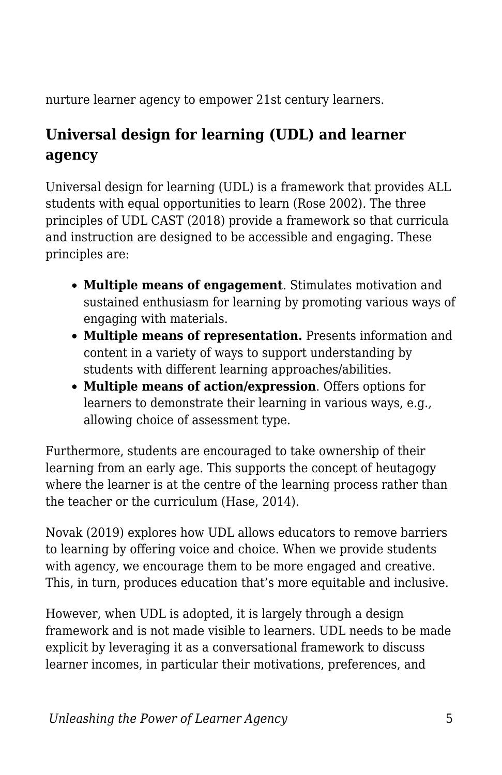nurture learner agency to empower 21st century learners.

#### **Universal design for learning (UDL) and learner agency**

Universal design for learning (UDL) is a framework that provides ALL students with equal opportunities to learn (Rose 2002). The three principles of UDL CAST (2018) provide a framework so that curricula and instruction are designed to be accessible and engaging. These principles are:

- **Multiple means of engagement**. Stimulates motivation and sustained enthusiasm for learning by promoting various ways of engaging with materials.
- **Multiple means of representation.** Presents information and content in a variety of ways to support understanding by students with different learning approaches/abilities.
- **Multiple means of action/expression**. Offers options for learners to demonstrate their learning in various ways, e.g., allowing choice of assessment type.

Furthermore, students are encouraged to take ownership of their learning from an early age. This supports the concept of heutagogy where the learner is at the centre of the learning process rather than the teacher or the curriculum (Hase, 2014).

Novak (2019) explores how UDL allows educators to remove barriers to learning by offering voice and choice. When we provide students with agency, we encourage them to be more engaged and creative. This, in turn, produces education that's more equitable and inclusive.

However, when UDL is adopted, it is largely through a design framework and is not made visible to learners. UDL needs to be made explicit by leveraging it as a conversational framework to discuss learner incomes, in particular their motivations, preferences, and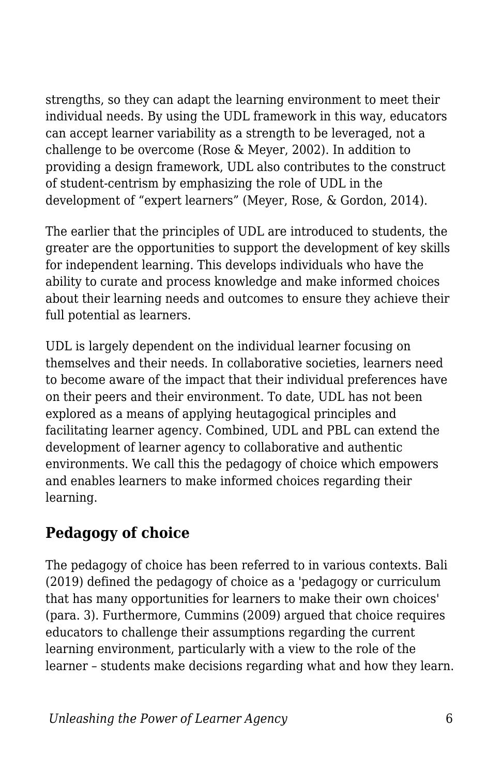strengths, so they can adapt the learning environment to meet their individual needs. By using the UDL framework in this way, educators can accept learner variability as a strength to be leveraged, not a challenge to be overcome (Rose & Meyer, 2002). In addition to providing a design framework, UDL also contributes to the construct of student-centrism by emphasizing the role of UDL in the development of "expert learners" (Meyer, Rose, & Gordon, 2014).

The earlier that the principles of UDL are introduced to students, the greater are the opportunities to support the development of key skills for independent learning. This develops individuals who have the ability to curate and process knowledge and make informed choices about their learning needs and outcomes to ensure they achieve their full potential as learners.

UDL is largely dependent on the individual learner focusing on themselves and their needs. In collaborative societies, learners need to become aware of the impact that their individual preferences have on their peers and their environment. To date, UDL has not been explored as a means of applying heutagogical principles and facilitating learner agency. Combined, UDL and PBL can extend the development of learner agency to collaborative and authentic environments. We call this the pedagogy of choice which empowers and enables learners to make informed choices regarding their learning.

#### **Pedagogy of choice**

The pedagogy of choice has been referred to in various contexts. Bali (2019) defined the pedagogy of choice as a 'pedagogy or curriculum that has many opportunities for learners to make their own choices' (para. 3). Furthermore, Cummins (2009) argued that choice requires educators to challenge their assumptions regarding the current learning environment, particularly with a view to the role of the learner – students make decisions regarding what and how they learn.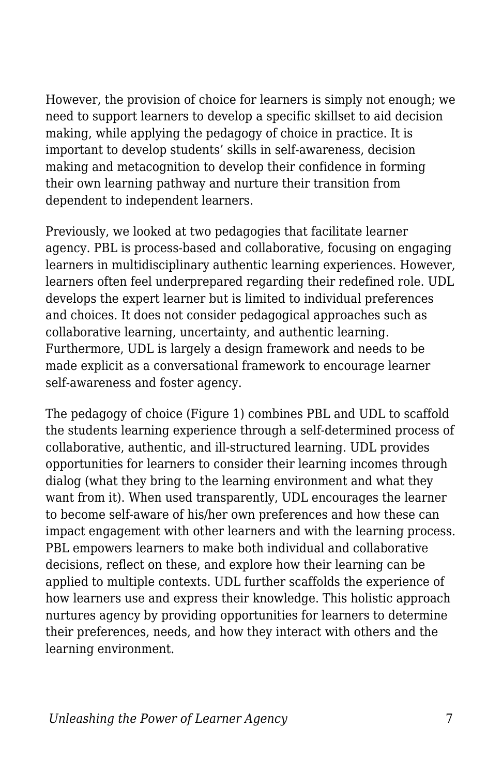However, the provision of choice for learners is simply not enough; we need to support learners to develop a specific skillset to aid decision making, while applying the pedagogy of choice in practice. It is important to develop students' skills in self-awareness, decision making and metacognition to develop their confidence in forming their own learning pathway and nurture their transition from dependent to independent learners.

Previously, we looked at two pedagogies that facilitate learner agency. PBL is process-based and collaborative, focusing on engaging learners in multidisciplinary authentic learning experiences. However, learners often feel underprepared regarding their redefined role. UDL develops the expert learner but is limited to individual preferences and choices. It does not consider pedagogical approaches such as collaborative learning, uncertainty, and authentic learning. Furthermore, UDL is largely a design framework and needs to be made explicit as a conversational framework to encourage learner self-awareness and foster agency.

The pedagogy of choice (Figure 1) combines PBL and UDL to scaffold the students learning experience through a self-determined process of collaborative, authentic, and ill-structured learning. UDL provides opportunities for learners to consider their learning incomes through dialog (what they bring to the learning environment and what they want from it). When used transparently, UDL encourages the learner to become self-aware of his/her own preferences and how these can impact engagement with other learners and with the learning process. PBL empowers learners to make both individual and collaborative decisions, reflect on these, and explore how their learning can be applied to multiple contexts. UDL further scaffolds the experience of how learners use and express their knowledge. This holistic approach nurtures agency by providing opportunities for learners to determine their preferences, needs, and how they interact with others and the learning environment.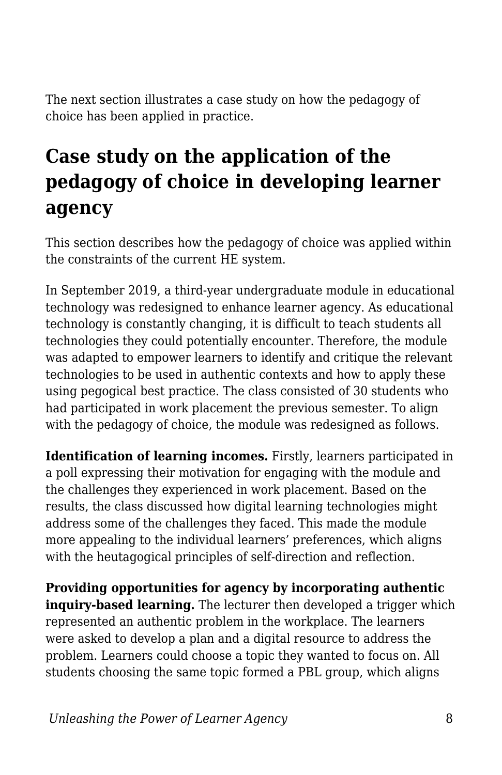The next section illustrates a case study on how the pedagogy of choice has been applied in practice.

### **Case study on the application of the pedagogy of choice in developing learner agency**

This section describes how the pedagogy of choice was applied within the constraints of the current HE system.

In September 2019, a third-year undergraduate module in educational technology was redesigned to enhance learner agency. As educational technology is constantly changing, it is difficult to teach students all technologies they could potentially encounter. Therefore, the module was adapted to empower learners to identify and critique the relevant technologies to be used in authentic contexts and how to apply these using pegogical best practice. The class consisted of 30 students who had participated in work placement the previous semester. To align with the pedagogy of choice, the module was redesigned as follows.

**Identification of learning incomes.** Firstly, learners participated in a poll expressing their motivation for engaging with the module and the challenges they experienced in work placement. Based on the results, the class discussed how digital learning technologies might address some of the challenges they faced. This made the module more appealing to the individual learners' preferences, which aligns with the heutagogical principles of self-direction and reflection.

**Providing opportunities for agency by incorporating authentic** inquiry-based learning. The lecturer then developed a trigger which represented an authentic problem in the workplace. The learners were asked to develop a plan and a digital resource to address the problem. Learners could choose a topic they wanted to focus on. All students choosing the same topic formed a PBL group, which aligns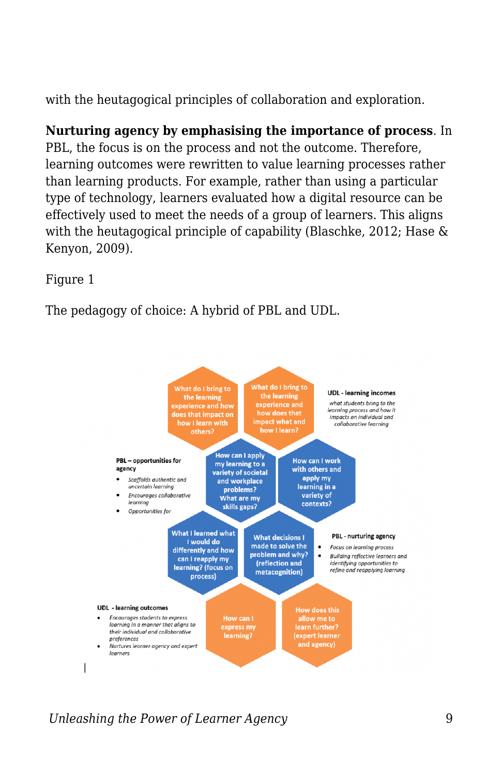with the heutagogical principles of collaboration and exploration.

**Nurturing agency by emphasising the importance of process**. In PBL, the focus is on the process and not the outcome. Therefore, learning outcomes were rewritten to value learning processes rather than learning products. For example, rather than using a particular type of technology, learners evaluated how a digital resource can be effectively used to meet the needs of a group of learners. This aligns with the heutagogical principle of capability (Blaschke, 2012; Hase & Kenyon, 2009).

Figure 1

The pedagogy of choice: A hybrid of PBL and UDL.



*Unleashing the Power of Learner Agency* 9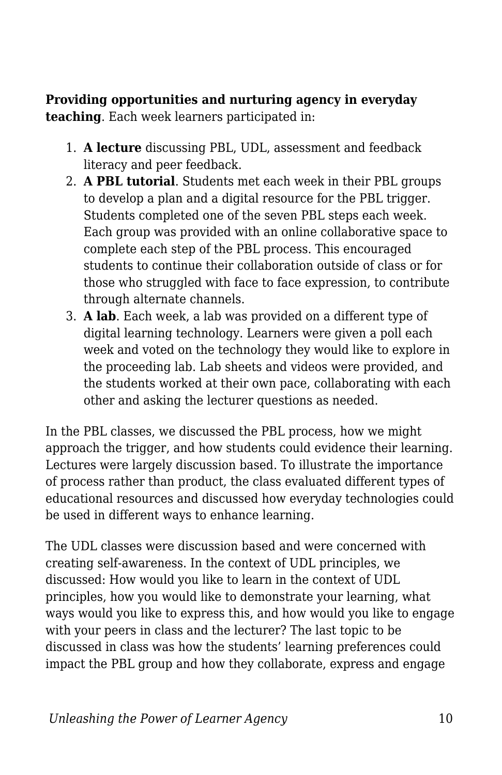**Providing opportunities and nurturing agency in everyday teaching**. Each week learners participated in:

- 1. **A lecture** discussing PBL, UDL, assessment and feedback literacy and peer feedback.
- 2. **A PBL tutorial**. Students met each week in their PBL groups to develop a plan and a digital resource for the PBL trigger. Students completed one of the seven PBL steps each week. Each group was provided with an online collaborative space to complete each step of the PBL process. This encouraged students to continue their collaboration outside of class or for those who struggled with face to face expression, to contribute through alternate channels.
- 3. **A lab**. Each week, a lab was provided on a different type of digital learning technology. Learners were given a poll each week and voted on the technology they would like to explore in the proceeding lab. Lab sheets and videos were provided, and the students worked at their own pace, collaborating with each other and asking the lecturer questions as needed.

In the PBL classes, we discussed the PBL process, how we might approach the trigger, and how students could evidence their learning. Lectures were largely discussion based. To illustrate the importance of process rather than product, the class evaluated different types of educational resources and discussed how everyday technologies could be used in different ways to enhance learning.

The UDL classes were discussion based and were concerned with creating self-awareness. In the context of UDL principles, we discussed: How would you like to learn in the context of UDL principles, how you would like to demonstrate your learning, what ways would you like to express this, and how would you like to engage with your peers in class and the lecturer? The last topic to be discussed in class was how the students' learning preferences could impact the PBL group and how they collaborate, express and engage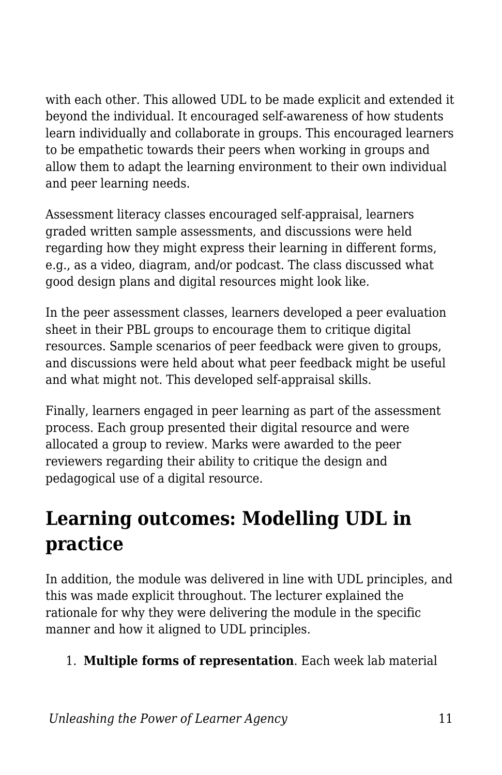with each other. This allowed UDL to be made explicit and extended it beyond the individual. It encouraged self-awareness of how students learn individually and collaborate in groups. This encouraged learners to be empathetic towards their peers when working in groups and allow them to adapt the learning environment to their own individual and peer learning needs.

Assessment literacy classes encouraged self-appraisal, learners graded written sample assessments, and discussions were held regarding how they might express their learning in different forms, e.g., as a video, diagram, and/or podcast. The class discussed what good design plans and digital resources might look like.

In the peer assessment classes, learners developed a peer evaluation sheet in their PBL groups to encourage them to critique digital resources. Sample scenarios of peer feedback were given to groups, and discussions were held about what peer feedback might be useful and what might not. This developed self-appraisal skills.

Finally, learners engaged in peer learning as part of the assessment process. Each group presented their digital resource and were allocated a group to review. Marks were awarded to the peer reviewers regarding their ability to critique the design and pedagogical use of a digital resource.

### **Learning outcomes: Modelling UDL in practice**

In addition, the module was delivered in line with UDL principles, and this was made explicit throughout. The lecturer explained the rationale for why they were delivering the module in the specific manner and how it aligned to UDL principles.

#### 1. **Multiple forms of representation**. Each week lab material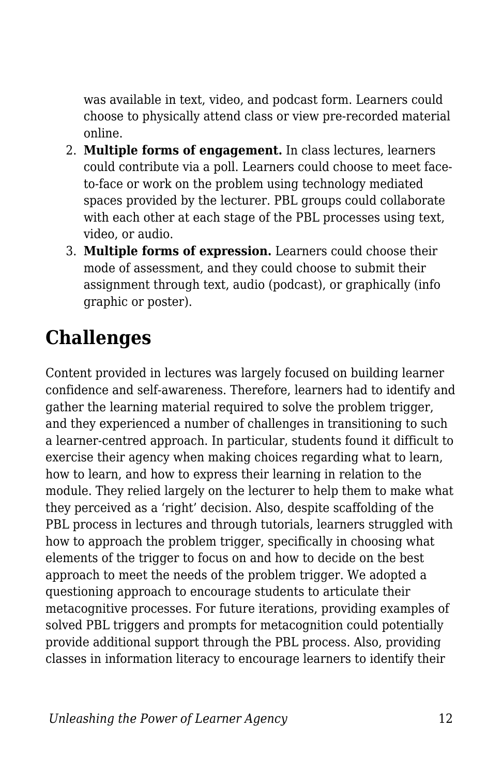was available in text, video, and podcast form. Learners could choose to physically attend class or view pre-recorded material online.

- 2. **Multiple forms of engagement.** In class lectures, learners could contribute via a poll. Learners could choose to meet faceto-face or work on the problem using technology mediated spaces provided by the lecturer. PBL groups could collaborate with each other at each stage of the PBL processes using text, video, or audio.
- 3. **Multiple forms of expression.** Learners could choose their mode of assessment, and they could choose to submit their assignment through text, audio (podcast), or graphically (info graphic or poster).

### **Challenges**

Content provided in lectures was largely focused on building learner confidence and self-awareness. Therefore, learners had to identify and gather the learning material required to solve the problem trigger, and they experienced a number of challenges in transitioning to such a learner-centred approach. In particular, students found it difficult to exercise their agency when making choices regarding what to learn, how to learn, and how to express their learning in relation to the module. They relied largely on the lecturer to help them to make what they perceived as a 'right' decision. Also, despite scaffolding of the PBL process in lectures and through tutorials, learners struggled with how to approach the problem trigger, specifically in choosing what elements of the trigger to focus on and how to decide on the best approach to meet the needs of the problem trigger. We adopted a questioning approach to encourage students to articulate their metacognitive processes. For future iterations, providing examples of solved PBL triggers and prompts for metacognition could potentially provide additional support through the PBL process. Also, providing classes in information literacy to encourage learners to identify their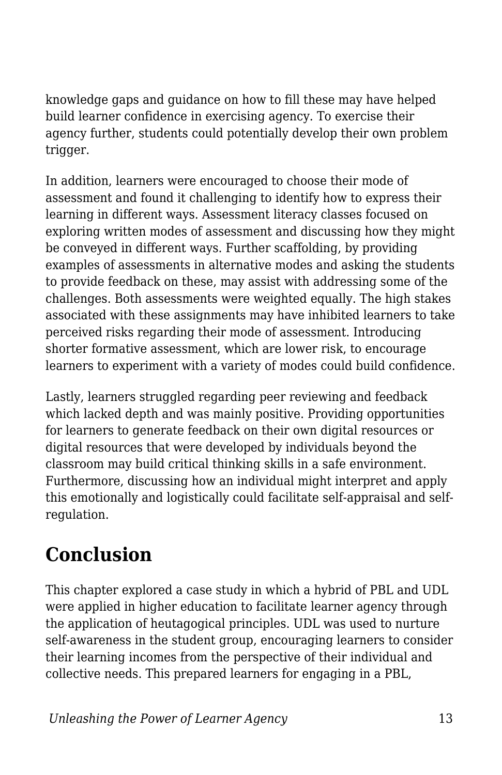knowledge gaps and guidance on how to fill these may have helped build learner confidence in exercising agency. To exercise their agency further, students could potentially develop their own problem trigger.

In addition, learners were encouraged to choose their mode of assessment and found it challenging to identify how to express their learning in different ways. Assessment literacy classes focused on exploring written modes of assessment and discussing how they might be conveyed in different ways. Further scaffolding, by providing examples of assessments in alternative modes and asking the students to provide feedback on these, may assist with addressing some of the challenges. Both assessments were weighted equally. The high stakes associated with these assignments may have inhibited learners to take perceived risks regarding their mode of assessment. Introducing shorter formative assessment, which are lower risk, to encourage learners to experiment with a variety of modes could build confidence.

Lastly, learners struggled regarding peer reviewing and feedback which lacked depth and was mainly positive. Providing opportunities for learners to generate feedback on their own digital resources or digital resources that were developed by individuals beyond the classroom may build critical thinking skills in a safe environment. Furthermore, discussing how an individual might interpret and apply this emotionally and logistically could facilitate self-appraisal and selfregulation.

### **Conclusion**

This chapter explored a case study in which a hybrid of PBL and UDL were applied in higher education to facilitate learner agency through the application of heutagogical principles. UDL was used to nurture self-awareness in the student group, encouraging learners to consider their learning incomes from the perspective of their individual and collective needs. This prepared learners for engaging in a PBL,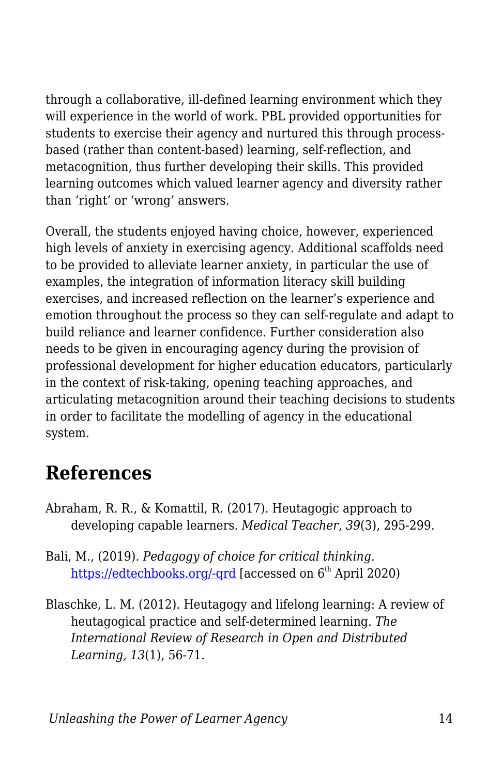through a collaborative, ill-defined learning environment which they will experience in the world of work. PBL provided opportunities for students to exercise their agency and nurtured this through processbased (rather than content-based) learning, self-reflection, and metacognition, thus further developing their skills. This provided learning outcomes which valued learner agency and diversity rather than 'right' or 'wrong' answers.

Overall, the students enjoyed having choice, however, experienced high levels of anxiety in exercising agency. Additional scaffolds need to be provided to alleviate learner anxiety, in particular the use of examples, the integration of information literacy skill building exercises, and increased reflection on the learner's experience and emotion throughout the process so they can self-regulate and adapt to build reliance and learner confidence. Further consideration also needs to be given in encouraging agency during the provision of professional development for higher education educators, particularly in the context of risk-taking, opening teaching approaches, and articulating metacognition around their teaching decisions to students in order to facilitate the modelling of agency in the educational system.

#### **References**

- Abraham, R. R., & Komattil, R. (2017). Heutagogic approach to developing capable learners. *Medical Teacher, 39*(3), 295-299.
- Bali, M., (2019). *Pedagogy of choice for critical thinking.* https://edtechbooks.org/-grd [accessed on 6<sup>th</sup> April 2020)
- Blaschke, L. M. (2012). Heutagogy and lifelong learning: A review of heutagogical practice and self-determined learning. *The International Review of Research in Open and Distributed Learning, 13*(1), 56-71.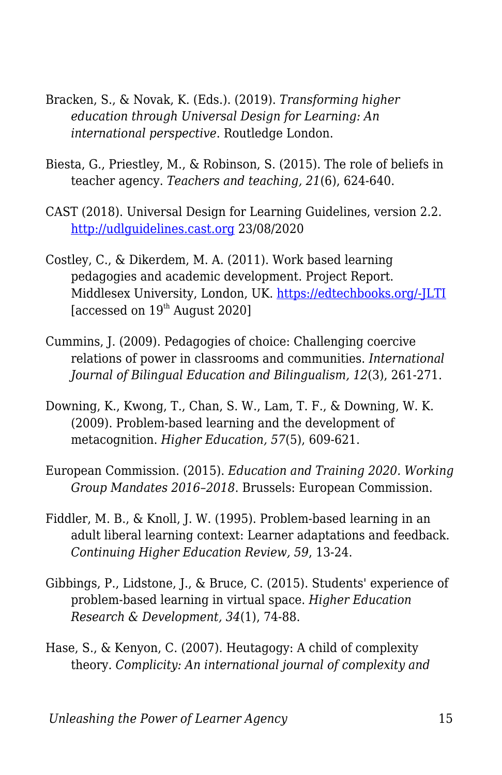- Bracken, S., & Novak, K. (Eds.). (2019). *Transforming higher education through Universal Design for Learning: An international perspective*. Routledge London.
- Biesta, G., Priestley, M., & Robinson, S. (2015). The role of beliefs in teacher agency. *Teachers and teaching, 21*(6), 624-640.
- CAST (2018). Universal Design for Learning Guidelines, version 2.2. <http://udlguidelines.cast.org> 23/08/2020
- Costley, C., & Dikerdem, M. A. (2011). Work based learning pedagogies and academic development. Project Report. Middlesex University, London, UK. [https://edtechbooks.org/-JLTI](http://eprints.mdx.ac.uk/8819/1/) [accessed on  $19<sup>th</sup>$  August 2020]
- Cummins, J. (2009). Pedagogies of choice: Challenging coercive relations of power in classrooms and communities. *International Journal of Bilingual Education and Bilingualism, 12*(3), 261-271.
- Downing, K., Kwong, T., Chan, S. W., Lam, T. F., & Downing, W. K. (2009). Problem-based learning and the development of metacognition. *Higher Education, 57*(5), 609-621.
- European Commission. (2015). *Education and Training 2020. Working Group Mandates 2016–2018*. Brussels: European Commission.
- Fiddler, M. B., & Knoll, J. W. (1995). Problem-based learning in an adult liberal learning context: Learner adaptations and feedback. *Continuing Higher Education Review, 59*, 13-24.
- Gibbings, P., Lidstone, J., & Bruce, C. (2015). Students' experience of problem-based learning in virtual space. *Higher Education Research & Development, 34*(1), 74-88.
- Hase, S., & Kenyon, C. (2007). Heutagogy: A child of complexity theory. *Complicity: An international journal of complexity and*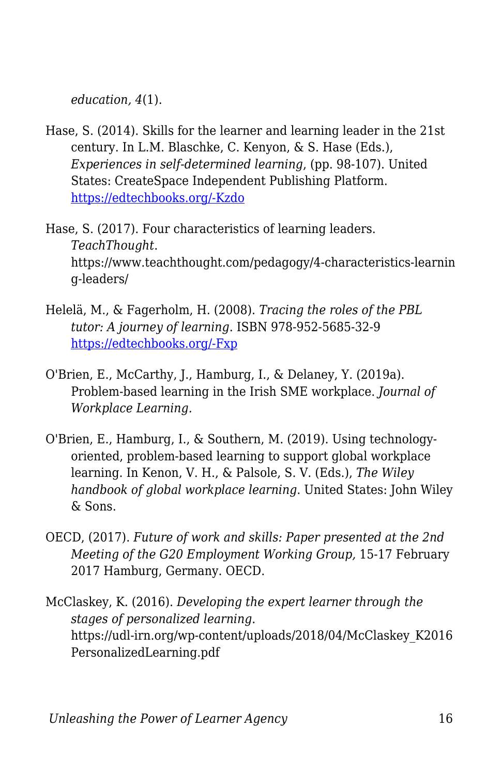*education, 4*(1).

- Hase, S. (2014). Skills for the learner and learning leader in the 21st century. In L.M. Blaschke, C. Kenyon, & S. Hase (Eds.), *Experiences in self-determined learning*, (pp. 98-107). United States: CreateSpace Independent Publishing Platform. [https://edtechbooks.org/-Kzdo](https://uol.de/coer/announcements/free-oer-now-available-experiences-in-self-determined-learning/)
- Hase, S. (2017). Four characteristics of learning leaders. *TeachThought*. https://www.teachthought.com/pedagogy/4-characteristics-learnin g-leaders/
- Helelä, M., & Fagerholm, H. (2008). *Tracing the roles of the PBL tutor: A journey of learning*. ISBN 978-952-5685-32-9 [https://edtechbooks.org/-Fxp](https://www.theseus.fi/bitstream/handle/10024/97121/pbl.pdf?sequence=1)
- O'Brien, E., McCarthy, J., Hamburg, I., & Delaney, Y. (2019a). Problem-based learning in the Irish SME workplace. *Journal of Workplace Learning.*
- O'Brien, E., Hamburg, I., & Southern, M. (2019). Using technology‐ oriented, problem‐based learning to support global workplace learning. In Kenon, V. H., & Palsole, S. V. (Eds.), *The Wiley handbook of global workplace learning*. United States: John Wiley & Sons.
- OECD, (2017). *Future of work and skills: Paper presented at the 2nd Meeting of the G20 Employment Working Group,* 15-17 February 2017 Hamburg, Germany. OECD.
- McClaskey, K. (2016). *Developing the expert learner through the stages of personalized learning*. https://udl-irn.org/wp-content/uploads/2018/04/McClaskey\_K2016 PersonalizedLearning.pdf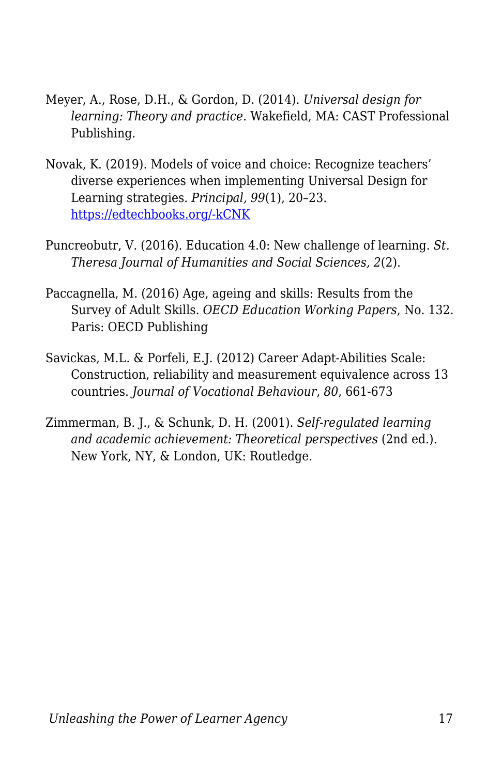- Meyer, A., Rose, D.H., & Gordon, D. (2014). *Universal design for learning: Theory and practice*. Wakefield, MA: CAST Professional Publishing.
- Novak, K. (2019). Models of voice and choice: Recognize teachers' diverse experiences when implementing Universal Design for Learning strategies. *Principal, 99*(1), 20–23. [https://edtechbooks.org/-kCNK](https://www.naesp.org/principal-septemberoctober-2019-personalized-learning/models-voice-and-choice)
- Puncreobutr, V. (2016). Education 4.0: New challenge of learning. *St. Theresa Journal of Humanities and Social Sciences, 2*(2).
- Paccagnella, M. (2016) Age, ageing and skills: Results from the Survey of Adult Skills. *OECD Education Working Papers*, No. 132. Paris: OECD Publishing
- Savickas, M.L. & Porfeli, E.J. (2012) Career Adapt-Abilities Scale: Construction, reliability and measurement equivalence across 13 countries. *Journal of Vocational Behaviour*, *80*, 661-673
- Zimmerman, B. J., & Schunk, D. H. (2001). *Self-regulated learning and academic achievement: Theoretical perspectives* (2nd ed.). New York, NY, & London, UK: Routledge.